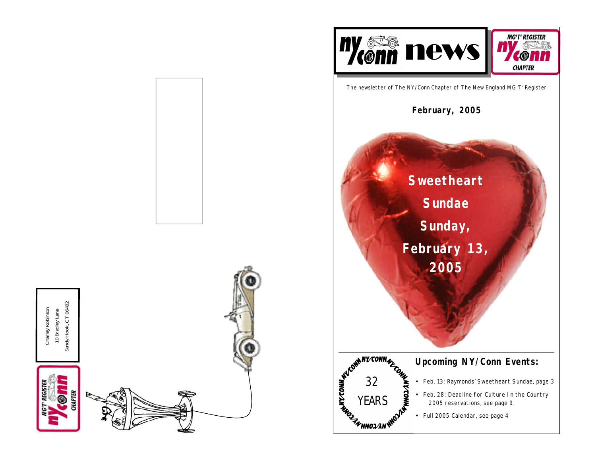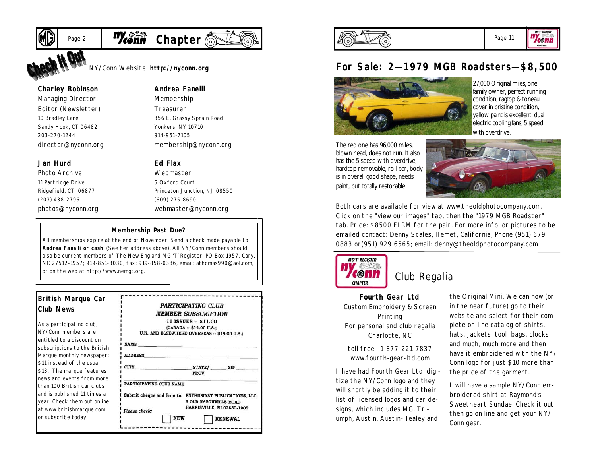

# Page 2 **Myconn** Chapter

NY/Conn Website: **http://nyconn.org**

#### **Charley Robinson**

*Managing Director Editor (Newsletter)* 10 Bradley Lane Sandy Hook, CT 06482 203-270-1244 director@nyconn.org

#### **Jan Hurd**

*Photo Archive* 11 Partridge Drive Ridgefield, CT 06877 (203) 438-2796 photos@nyconn.org *Membership Treasurer* 356 E. Grassy Sprain Road

**Andrea Fanelli**

Yonkers, NY 10710 914-961-7105 membership@nyconn.org

#### **Ed Flax**

*Webmaster* 5 Oxford Court Princeton Junction, NJ 08550 (609) 275-8690 webmaster@nyconn.org

#### **Membership Past Due?**

All memberships expire at the end of November. Send a check made payable to **Andrea Fanelli or cash**. (See her address above). All NY/Conn members should also be current members of The New England MG 'T' Register, PO Box 1957, Cary, NC 27512-1957; 919-851-3030; fax: 919-858-0386, email: athomas990@aol.com, or on the web at http://www.nemgt.org.

#### **British Marque Car Club News**

As a participating club, NY/Conn members are entitled to a discount on subscriptions to the British Marque monthly newspaper; \$11 instead of the usual \$18. The marque features news and events from more than 100 British car clubs and is published 11 times a year. Check them out online at www.britishmarque.com or subscribe today.

|                                                         | <b>PARTICIPATING CLUB</b>                                         |                |
|---------------------------------------------------------|-------------------------------------------------------------------|----------------|
|                                                         | MEMBER SUBSCRIPTION                                               |                |
|                                                         | 11 ISSUES -- \$11.00                                              |                |
|                                                         | (CANADA -- \$14.00 U.S.;                                          |                |
|                                                         | U.K. AND ELSEWHERE OVERSEAS -- \$19.00 U.S.)                      |                |
| <b>NAME</b>                                             |                                                                   |                |
| <b>ADDRESS</b>                                          |                                                                   |                |
| <b>CITY</b>                                             | STATE/ ZIP<br>PROV.                                               |                |
| PARTICIPATING CLUB NAME                                 |                                                                   |                |
| Submit cheque and form to: ENTHUSIAST PUBLICATIONS, LLC | <b>5 OLD NASONVILLE ROAD</b><br><b>HARRISVILLE, RI 02830-1905</b> |                |
| Please check:                                           | NEW                                                               | <b>RENEWAL</b> |



## **For Sale: 2—1979 MGB Roadsters—\$8,500**



27,000 Original miles, one family owner, perfect running condition, ragtop & toneau cover in pristine condition, yellow paint is excellent, dual electric cooling fans, 5 speed with overdrive.

The red one has 96,000 miles, blown head, does not run. It also has the 5 speed with overdrive, hardtop removable, roll bar, body is in overall good shape, needs paint, but totally restorable.



Both cars are available for view at www.theoldphotocompany.com. Click on the "view our images" tab, then the "1979 MGB Roadster" tab. Price: \$8500 FIRM for the pair. For more info, or pictures to be emailed contact: Denny Scales, Hemet, California, Phone (951) 679 0883 or(951) 929 6565; email: denny@theoldphotocompany.com



## Club Regalia

**Fourth Gear Ltd**. Custom Embroidery & Screen Printing For personal and club regalia Charlotte, NC

toll free—1-877-221-7837 www.fourth-gear-ltd.com

I have had Fourth Gear Ltd. digitize the NY/Conn logo and they will shortly be adding it to their list of licensed logos and car designs, which includes MG, Triumph, Austin, Austin-Healey and

the Original Mini. We can now (or in the near future) go to their website and select for their complete on-line catalog of shirts, hats, jackets, tool bags, clocks and much, much more and then have it embroidered with the NY/ Conn logo for just \$10 more than the price of the garment.

I will have a sample NY/Conn embroidered shirt at Raymond's Sweetheart Sundae. Check it out, then go on line and get your NY/ Conn gear.

Page 11

konn CHAPTER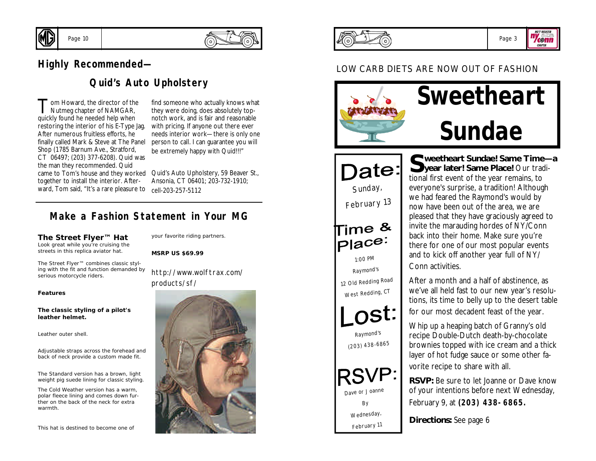

## **Highly Recommended—**

Page 10

## **Quid's Auto Upholstery**

Tom Howard, the director of the<br>Nutmeg chapter of NAMGAR,<br>quickly found he needed help when om Howard, the director of the Nutmeg chapter of NAMGAR, restoring the interior of his E-Type Jag. After numerous fruitless efforts, he finally called Mark & Steve at The Panel Shop (1785 Barnum Ave., Stratford, CT 06497; (203) 377-6208). Quid was the man they recommended. Quid came to Tom's house and they worked Quid's Auto Upholstery, 59 Beaver St., together to install the interior. Afterward, Tom said, "It's a rare pleasure to

find someone who actually knows what they were doing, does absolutely topnotch work, and is fair and reasonable with pricing. If anyone out there ever needs interior work—there is only one person to call. I can guarantee you will be extremely happy with Quid!!!"

Ansonia, CT 06401; 203-732-1910; cell-203-257-5112

## **Make a Fashion Statement in Your MG**

#### **The Street Flyer™ Hat**

Look great while you're cruising the streets in this replica aviator hat.

The Street Flyer™ combines classic styling with the fit and function demanded by serious motorcycle riders.

your favorite riding partners.

**MSRP US \$69.99**

http://www.wolftrax.com/ products/sf/

#### **Features**

**The classic styling of a pilot's leather helmet.**

Leather outer shell.

Adjustable straps across the forehead and back of neck provide a custom made fit.

The Standard version has a brown, light weight pig suede lining for classic styling.

The Cold Weather version has a warm, polar fleece lining and comes down further on the back of the neck for extra warmth.

This hat is destined to become one of







## LOW CARB DIETS ARE NOW OUT OF FASHION





*February 11*

S weetheart Sundae! Same Time—a<br>
year later! Same Place! Our tradi**year later! Same Place!** Our traditional first event of the year remains, to everyone's surprise, a tradition! Although we had feared the Raymond's would by now have been out of the area, we are pleased that they have graciously agreed to invite the marauding hordes of NY/Conn back into their home. Make sure you're there for one of our most popular events and to kick off another year full of NY/ Conn activities.

After a month and a half of abstinence, as we've all held fast to our new year's resolutions, its time to belly up to the desert table for our most decadent feast of the year.

Whip up a heaping batch of Granny's old recipe Double-Dutch death-by-chocolate brownies topped with ice cream and a thick layer of hot fudge sauce or some other favorite recipe to share with all.

**RSVP:** Be sure to let Joanne or Dave know of your intentions before next Wednesday, February 9, at *(203) 438-6865.*

**Directions:** See page 6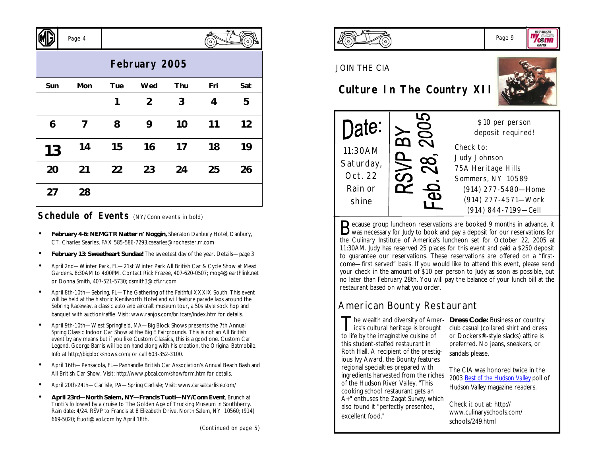|               | Page 4 |     |                |     | o.  | $\Omega$ |  |  |
|---------------|--------|-----|----------------|-----|-----|----------|--|--|
| February 2005 |        |     |                |     |     |          |  |  |
| Sun           | Mon    | Tue | Wed            | Thu | Fri | Sat      |  |  |
|               |        | 1   | $\overline{2}$ | 3   | 4   | 5        |  |  |
| 6             | 7      | 8   | 9              | 10  | 11  | 12       |  |  |
| 13            | 14     | 15  | 16             | 17  | 18  | 19       |  |  |
| 20            | 21     | 22  | 23             | 24  | 25  | 26       |  |  |
| 27            | 28     |     |                |     |     |          |  |  |

## **Schedule of Events** (NY/Conn events in bold)

 $\sqrt{N}$ 

- **February 4-6: NEMGTR Natter n' Noggin,** Sheraton Danbury Hotel, Danbury, CT. Charles Searles, FAX 585-586-7293;csearles@rochester.rr.com
- **February 13: Sweetheart Sundae!** The sweetest day of the year. Details—page 3
- April 2nd—Winter Park, FL—21st Winter Park All British Car & Cycle Show at Mead Gardens. 8:30AM to 4:00PM. Contact Rick Frazee, 407-620-0507; mog4@earthlink.net or Donna Smith, 407-521-5730; dsmith3@cfl.rr.com
- April 8th-10th—Sebring, FL—The Gathering of the Faithful XXXIX South. This event will be held at the historic Kenilworth Hotel and will feature parade laps around the Sebring Raceway, a classic auto and aircraft museum tour, a 50s style sock hop and banquet with auction/raffle. Visit: www.ranjos.com/britcars/index.htm for details.
- April 9th-10th—West Springfield, MA—Big Block Shows presents the 7th Annual Spring Classic Indoor Car Show at the Big E Fairgrounds. This is not an All British event by any means but if you like Custom Classics, this is a good one. Custom Car Legend, George Barris will be on hand along with his creation, the Original Batmobile. Info at http://bigblockshows.com/ or call 603-352-3100.
- April 16th—Pensacola, FL—Panhandle British Car Association's Annual Beach Bash and All British Car Show. Visit: http://www.pbcal.com/showform.htm for details.
- April 20th-24th—Carlisle, PA—Spring Carlisle; Visit: www.carsatcarlisle.com/
- **April 23rd—North Salem, NY—Francis Tuoti—NY/Conn Event**, Brunch at Tuoti's followed by a cruise to The Golden Age of Trucking Museum in Southberry. Rain date: 4/24. RSVP to Francis at 8 Elizabeth Drive, North Salem, NY 10560; (914) 669-5020; ftuoti@aol.com by April 18th.

*(Continued on page 5)*

 $\mathcal{L}$  $\overline{ }$ 



### JOIN THE CIA

# **Culture In The Country XII**





Because group luncheon reservations are booked 9 months in advance, it was necessary for Judy to book and pay a deposit for our reservations for was necessary for Judy to book and pay a deposit for our reservations for the Culinary Institute of America's luncheon set for October 22, 2005 at 11:30AM. Judy has reserved 25 places for this event and paid a \$250 deposit to guarantee our reservations. These reservations are offered on a "firstcome—first served" basis. If you would like to attend this event, please send your check in the amount of \$10 per person to Judy as soon as possible, but no later than February 28th. You will pay the balance of your lunch bill at the restaurant based on what you order.

# American Bounty Restaurant

The wealth and diversity of Amer-<br>
ica's cultural heritage is brought<br>
club casual (collared shirt and dress ica's cultural heritage is brought to life by the imaginative cuisine of this student-staffed restaurant in Roth Hall. A recipient of the prestigious Ivy Award, the Bounty features regional specialties prepared with ingredients harvested from the riches of the Hudson River Valley. "This cooking school restaurant gets an A+" enthuses the *Zagat Survey*, which also found it "perfectly presented, excellent food."

club casual (collared shirt and dress or Dockers®-style slacks) attire is preferred. No jeans, sneakers, or sandals please.

The CIA was honored twice in the 2003 *Best of the Hudson Valley* poll of *Hudson Valley* magazine readers.

Check it out at: http:// www.culinaryschools.com/ schools/249.html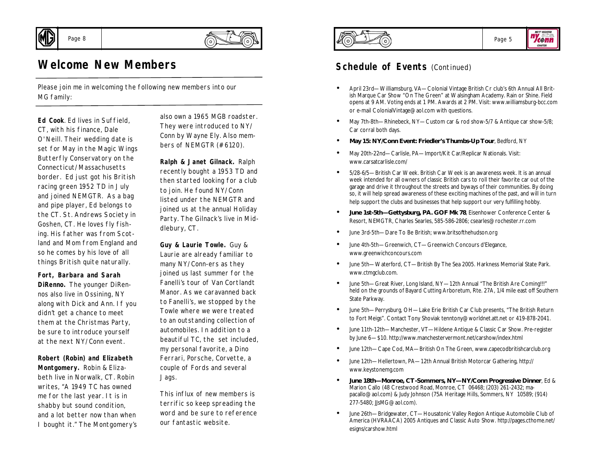

Page 8

# **Welcome New Members**

Please join me in welcoming the following new members into our MG family:

**Ed Cook**. Ed lives in Suffield, CT, with his finance, Dale O'Neill. Their wedding date is set for May in the Magic Wings Butterfly Conservatory on the Connecticut/Massachusetts border. Ed just got his British racing green 1952 TD in July and joined NEMGTR. As a bag and pipe player, Ed belongs to the CT. St. Andrews Society in Goshen, CT. He loves fly fishing. His father was from Scotland and Mom from England and so he comes by his love of all things British quite naturally.

**Fort, Barbara and Sarah DiRenno.** The younger DiRennos also live in Ossining, NY along with Dick and Ann. If you didn't get a chance to meet them at the Christmas Party, be sure to introduce yourself at the next NY/Conn event.

#### **Robert (Robin) and Elizabeth Montgomery.** Robin & Elizabeth live in Norwalk, CT. Robin writes, "A 1949 TC has owned me for the last year. It is in shabby but sound condition, and a lot better now than when I bought it." The Montgomery's

also own a 1965 MGB roadster. They were introduced to NY/ Conn by Wayne Ely. Also members of NEMGTR (#6120).

**Ralph & Janet Gilnack.** Ralph recently bought a 1953 TD and then started looking for a club to join. He found NY/Conn listed under the NEMGTR and joined us at the annual Holiday Party. The Gilnack's live in Middlebury, CT.

**Guy & Laurie Towle.** Guy & Laurie are already familiar to many NY/Conn-ers as they joined us last summer for the Fanelli's tour of Van Cortlandt Manor. As we caravanned back to Fanelli's, we stopped by the Towle where we were treated to an outstanding collection of automobiles. In addition to a beautiful TC, the set included, my personal favorite, a Dino Ferrari, Porsche, Corvette, a couple of Fords and several Jags.

This influx of new members is terrific so keep spreading the word and be sure to reference our fantastic website.





## **Schedule of Events (Continued)**

- April 23rd—Williamsburg, VA—Colonial Vintage British Cr club's 6th Annual All British Marque Car Show "On The Green" at Walsingham Academy. Rain or Shine. Field opens at 9 AM. Voting ends at 1 PM. Awards at 2 PM. Visit: www.williamsburg-bcc.com or e-mail ColonialVintage@aol.com with questions.
- May 7th-8th—Rhinebeck, NY—Custom car & rod show-5/7 & Antique car show-5/8; Car corral both days.
- **May 15: NY/Conn Event: Friedler's Thumbs-Up Tour**, Bedford, NY
- May 20th-22nd—Carlisle, PA—Import/Kit Car/Replicar Nationals. Visit: www.carsatcarlisle.com/
- 5/28-6/5—British Car Week. British Car Week is an awareness week. It is an annual week intended for all owners of classic British cars to roll their favorite car out of the garage and drive it throughout the streets and byways of their communities. By doing so, it will help spread awareness of these exciting machines of the past, and will in turn help support the clubs and businesses that help support our very fulfilling hobby.
- **June 1st-5th—Gettysburg, PA. GOF Mk 78**, Eisenhower Conference Center & Resort, NEMGTR, Charles Searles, 585-586-2806; csearles@rochester.rr.com
- June 3rd-5th—Dare To Be British; www.britsofthehudson.org
- June 4th-5th—Greenwich, CT—Greenwich Concours d'Elegance, www.greenwichconcours.com
- June 5th—Waterford, CT—British By The Sea 2005. Harkness Memorial State Park. www.ctmgclub.com.
- June 5th—Great River, Long Island, NY—12th Annual "The British Are Coming!!!" held on the grounds of Bayard Cutting Arboretum, Rte. 27A, 1/4 mile east off Southern State Parkway.
- June 5th—Perrysburg, OH—Lake Erie British Car Club presents, "The British Return to Fort Meigs". Contact Tony Shoviak tenntony@worldnet.att.net or 419-878-2041.
- June 11th-12th—Manchester, VT—Hildene Antique & Classic Car Show. Pre-register by June 6—\$10. http://www.manchestervermont.net/carshow/index.html
- June 12th—Cape Cod, MA—British On The Green, www.capecodbritishcarclub.org
- June 12th—Hellertown, PA—12th Annual British Motorcar Gathering, http:// www.keystonemg.com
- **June 18th—Monroe, CT-Sommers, NY—NY/Conn Progressive Dinner**, Ed & Marion Callo (48 Crestwood Road, Monroe, CT 06468; (203) 261-2432; mapacallo@aol.com) & Judy Johnson (75A Heritage Hills, Sommers, NY 10589; (914) 277-5480; JJsMG@aol.com).
- June 26th—Bridgewater, CT—Housatonic Valley Region Antique Automobile Club of America (HVRAACA) 2005 Antiques and Classic Auto Show. http://pages.cthome.net/ esigns/carshow.html